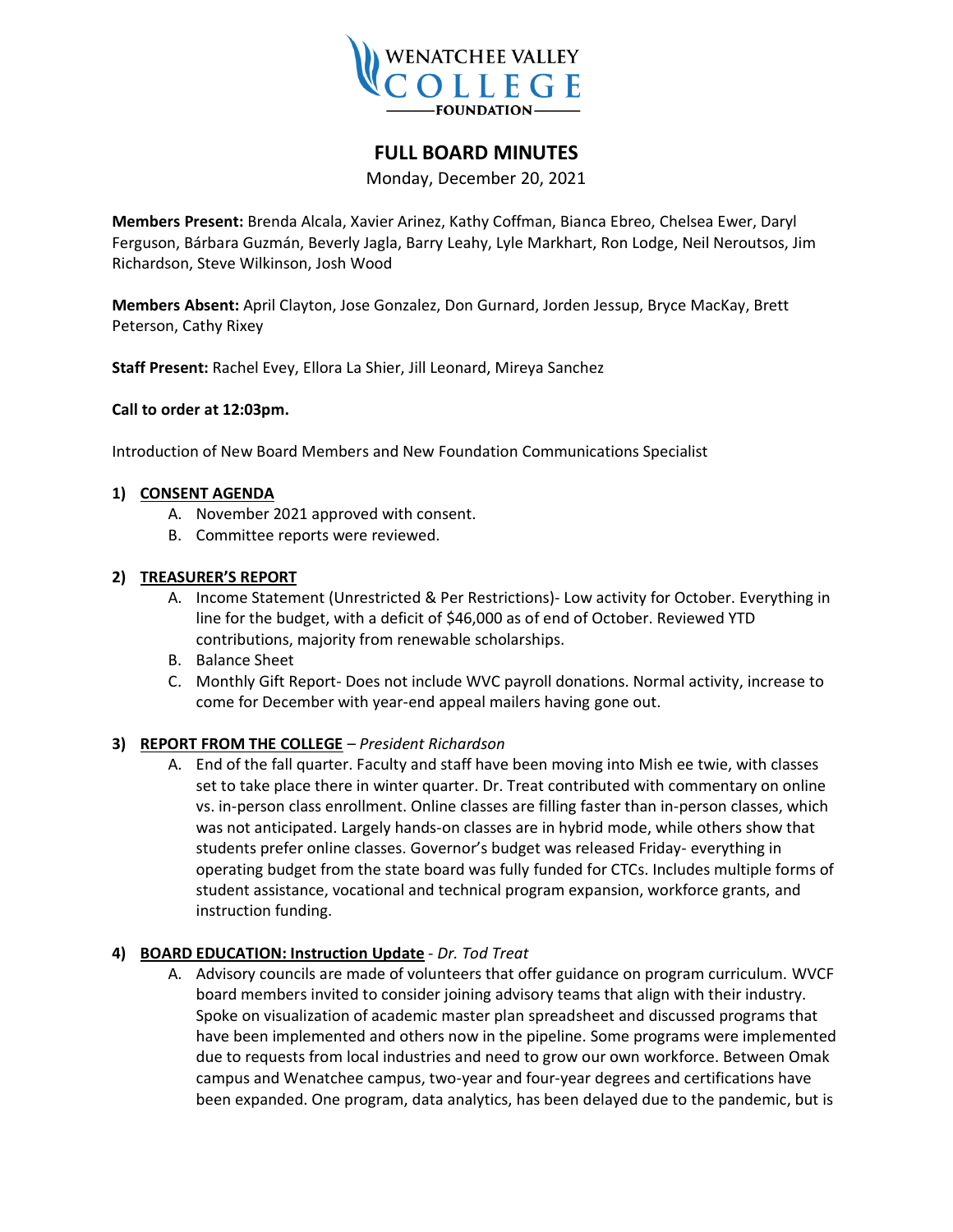

# **FULL BOARD MINUTES**

Monday, December 20, 2021

**Members Present:** Brenda Alcala, Xavier Arinez, Kathy Coffman, Bianca Ebreo, Chelsea Ewer, Daryl Ferguson, Bárbara Guzmán, Beverly Jagla, Barry Leahy, Lyle Markhart, Ron Lodge, Neil Neroutsos, Jim Richardson, Steve Wilkinson, Josh Wood

**Members Absent:** April Clayton, Jose Gonzalez, Don Gurnard, Jorden Jessup, Bryce MacKay, Brett Peterson, Cathy Rixey

**Staff Present:** Rachel Evey, Ellora La Shier, Jill Leonard, Mireya Sanchez

# **Call to order at 12:03pm.**

Introduction of New Board Members and New Foundation Communications Specialist

#### **1) CONSENT AGENDA**

- A. November 2021 approved with consent.
- B. Committee reports were reviewed.

#### **2) TREASURER'S REPORT**

- A. Income Statement (Unrestricted & Per Restrictions)- Low activity for October. Everything in line for the budget, with a deficit of \$46,000 as of end of October. Reviewed YTD contributions, majority from renewable scholarships.
- B. Balance Sheet
- C. Monthly Gift Report- Does not include WVC payroll donations. Normal activity, increase to come for December with year-end appeal mailers having gone out.

# **3) REPORT FROM THE COLLEGE** *– President Richardson*

A. End of the fall quarter. Faculty and staff have been moving into Mish ee twie, with classes set to take place there in winter quarter. Dr. Treat contributed with commentary on online vs. in-person class enrollment. Online classes are filling faster than in-person classes, which was not anticipated. Largely hands-on classes are in hybrid mode, while others show that students prefer online classes. Governor's budget was released Friday- everything in operating budget from the state board was fully funded for CTCs. Includes multiple forms of student assistance, vocational and technical program expansion, workforce grants, and instruction funding.

# **4) BOARD EDUCATION: Instruction Update** - *Dr. Tod Treat*

A. Advisory councils are made of volunteers that offer guidance on program curriculum. WVCF board members invited to consider joining advisory teams that align with their industry. Spoke on visualization of academic master plan spreadsheet and discussed programs that have been implemented and others now in the pipeline. Some programs were implemented due to requests from local industries and need to grow our own workforce. Between Omak campus and Wenatchee campus, two-year and four-year degrees and certifications have been expanded. One program, data analytics, has been delayed due to the pandemic, but is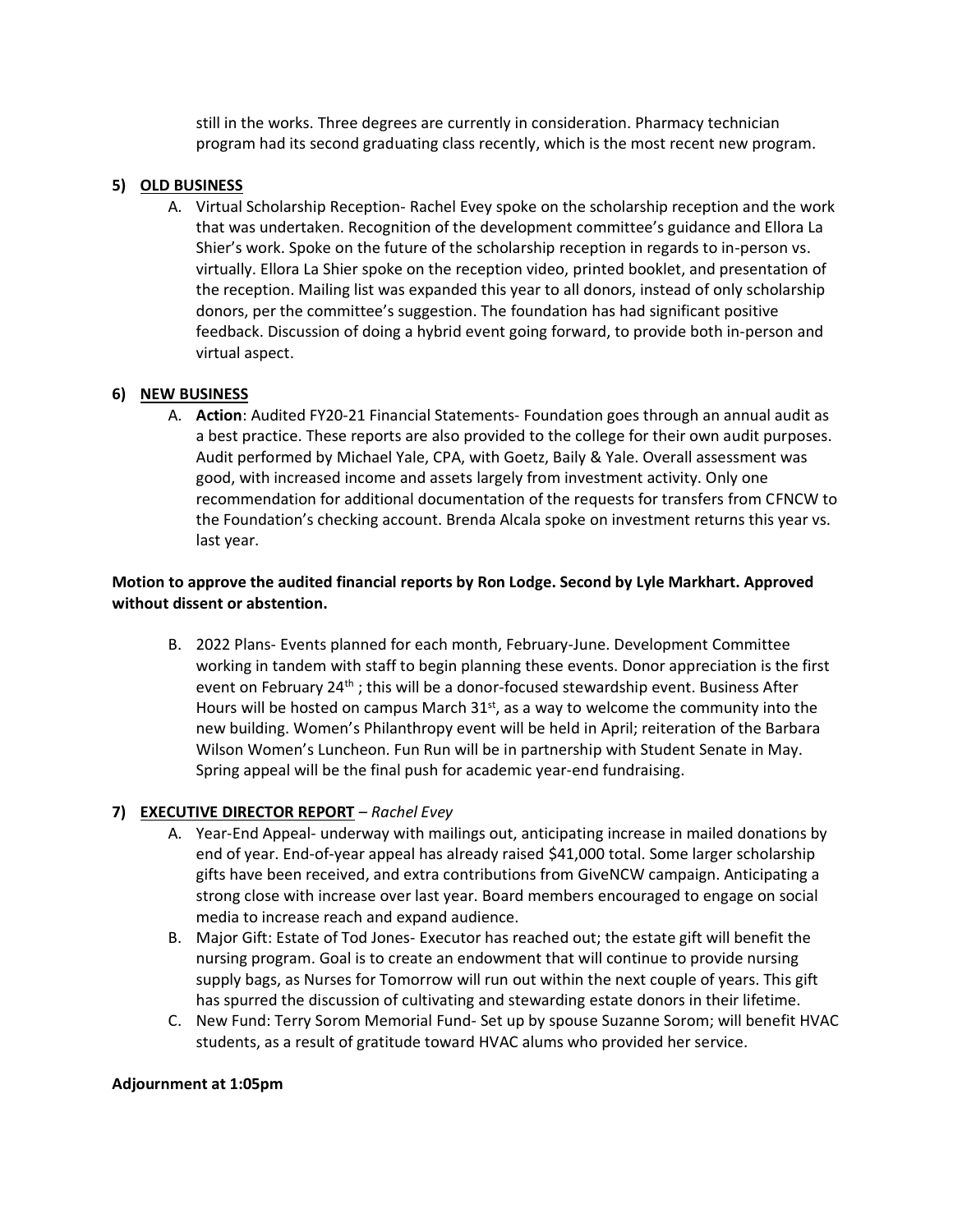still in the works. Three degrees are currently in consideration. Pharmacy technician program had its second graduating class recently, which is the most recent new program.

#### **5) OLD BUSINESS**

A. Virtual Scholarship Reception- Rachel Evey spoke on the scholarship reception and the work that was undertaken. Recognition of the development committee's guidance and Ellora La Shier's work. Spoke on the future of the scholarship reception in regards to in-person vs. virtually. Ellora La Shier spoke on the reception video, printed booklet, and presentation of the reception. Mailing list was expanded this year to all donors, instead of only scholarship donors, per the committee's suggestion. The foundation has had significant positive feedback. Discussion of doing a hybrid event going forward, to provide both in-person and virtual aspect.

#### **6) NEW BUSINESS**

A. **Action**: Audited FY20-21 Financial Statements- Foundation goes through an annual audit as a best practice. These reports are also provided to the college for their own audit purposes. Audit performed by Michael Yale, CPA, with Goetz, Baily & Yale. Overall assessment was good, with increased income and assets largely from investment activity. Only one recommendation for additional documentation of the requests for transfers from CFNCW to the Foundation's checking account. Brenda Alcala spoke on investment returns this year vs. last year.

# **Motion to approve the audited financial reports by Ron Lodge. Second by Lyle Markhart. Approved without dissent or abstention.**

B. 2022 Plans- Events planned for each month, February-June. Development Committee working in tandem with staff to begin planning these events. Donor appreciation is the first event on February 24<sup>th</sup>; this will be a donor-focused stewardship event. Business After Hours will be hosted on campus March 31<sup>st</sup>, as a way to welcome the community into the new building. Women's Philanthropy event will be held in April; reiteration of the Barbara Wilson Women's Luncheon. Fun Run will be in partnership with Student Senate in May. Spring appeal will be the final push for academic year-end fundraising.

# **7) EXECUTIVE DIRECTOR REPORT** *– Rachel Evey*

- A. Year-End Appeal- underway with mailings out, anticipating increase in mailed donations by end of year. End-of-year appeal has already raised \$41,000 total. Some larger scholarship gifts have been received, and extra contributions from GiveNCW campaign. Anticipating a strong close with increase over last year. Board members encouraged to engage on social media to increase reach and expand audience.
- B. Major Gift: Estate of Tod Jones- Executor has reached out; the estate gift will benefit the nursing program. Goal is to create an endowment that will continue to provide nursing supply bags, as Nurses for Tomorrow will run out within the next couple of years. This gift has spurred the discussion of cultivating and stewarding estate donors in their lifetime.
- C. New Fund: Terry Sorom Memorial Fund- Set up by spouse Suzanne Sorom; will benefit HVAC students, as a result of gratitude toward HVAC alums who provided her service.

#### **Adjournment at 1:05pm**